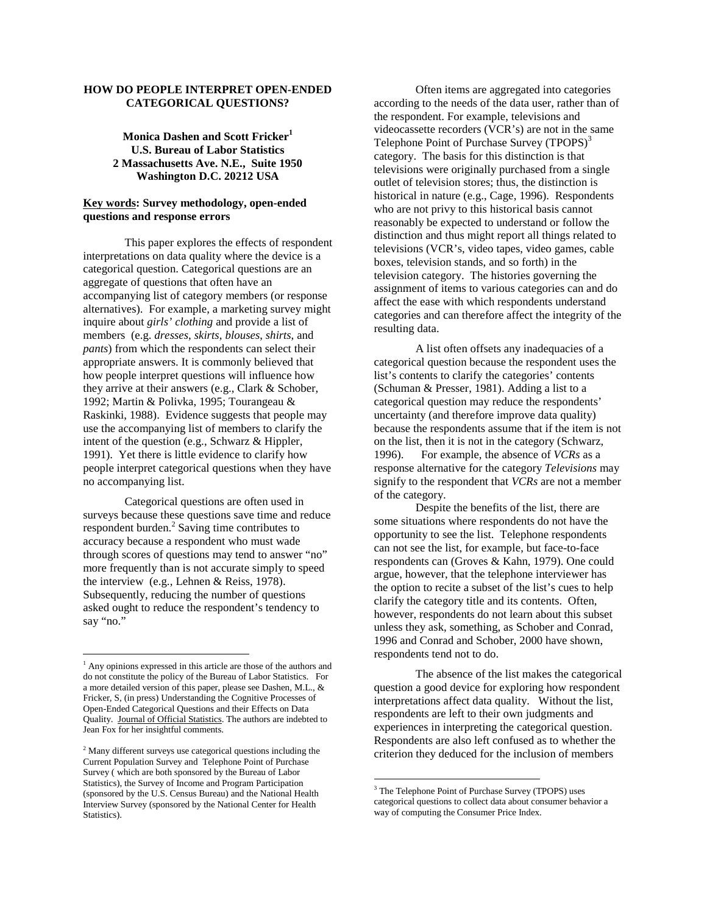# **HOW DO PEOPLE INTERPRET OPEN-ENDED CATEGORICAL QUESTIONS?**

**Monica Dashen and Scott Fricker<sup>1</sup> U.S. Bureau of Labor Statistics 2 Massachusetts Ave. N.E., Suite 1950 Washington D.C. 20212 USA** 

# **Key words: Survey methodology, open-ended questions and response errors**

This paper explores the effects of respondent interpretations on data quality where the device is a categorical question. Categorical questions are an aggregate of questions that often have an accompanying list of category members (or response alternatives). For example, a marketing survey might inquire about *girls' clothing* and provide a list of members (e.g. *dresses*, *skirts*, *blouses*, *shirts*, and *pants*) from which the respondents can select their appropriate answers. It is commonly believed that how people interpret questions will influence how they arrive at their answers (e.g., Clark & Schober, 1992; Martin & Polivka, 1995; Tourangeau & Raskinki, 1988). Evidence suggests that people may use the accompanying list of members to clarify the intent of the question (e.g., Schwarz & Hippler, 1991). Yet there is little evidence to clarify how people interpret categorical questions when they have no accompanying list.

Categorical questions are often used in surveys because these questions save time and reduce respondent burden. $\frac{2}{3}$  Saving time contributes to accuracy because a respondent who must wade through scores of questions may tend to answer "no" more frequently than is not accurate simply to speed the interview (e.g., Lehnen & Reiss, 1978). Subsequently, reducing the number of questions asked ought to reduce the respondent's tendency to say "no."

 $\overline{a}$ 

Often items are aggregated into categories according to the needs of the data user, rather than of the respondent. For example, televisions and videocassette recorders (VCR's) are not in the same Telephone Point of Purchase Survey (TPOPS)<sup>3</sup> category. The basis for this distinction is that televisions were originally purchased from a single outlet of television stores; thus, the distinction is historical in nature (e.g., Cage, 1996). Respondents who are not privy to this historical basis cannot reasonably be expected to understand or follow the distinction and thus might report all things related to televisions (VCR's, video tapes, video games, cable boxes, television stands, and so forth) in the television category. The histories governing the assignment of items to various categories can and do affect the ease with which respondents understand categories and can therefore affect the integrity of the resulting data.

A list often offsets any inadequacies of a categorical question because the respondent uses the list's contents to clarify the categories' contents (Schuman & Presser, 1981). Adding a list to a categorical question may reduce the respondents' uncertainty (and therefore improve data quality) because the respondents assume that if the item is not on the list, then it is not in the category (Schwarz, 1996). For example, the absence of *VCRs* as a response alternative for the category *Televisions* may signify to the respondent that *VCRs* are not a member of the category.

Despite the benefits of the list, there are some situations where respondents do not have the opportunity to see the list. Telephone respondents can not see the list, for example, but face-to-face respondents can (Groves & Kahn, 1979). One could argue, however, that the telephone interviewer has the option to recite a subset of the list's cues to help clarify the category title and its contents. Often, however, respondents do not learn about this subset unless they ask, something, as Schober and Conrad, 1996 and Conrad and Schober, 2000 have shown, respondents tend not to do.

The absence of the list makes the categorical question a good device for exploring how respondent interpretations affect data quality. Without the list, respondents are left to their own judgments and experiences in interpreting the categorical question. Respondents are also left confused as to whether the criterion they deduced for the inclusion of members

 $\overline{a}$ 

<sup>&</sup>lt;sup>1</sup> Any opinions expressed in this article are those of the authors and do not constitute the policy of the Bureau of Labor Statistics. For a more detailed version of this paper, please see Dashen, M.L., & Fricker, S, (in press) Understanding the Cognitive Processes of Open-Ended Categorical Questions and their Effects on Data Quality. Journal of Official Statistics. The authors are indebted to Jean Fox for her insightful comments.

<sup>&</sup>lt;sup>2</sup> Many different surveys use categorical questions including the Current Population Survey and Telephone Point of Purchase Survey ( which are both sponsored by the Bureau of Labor Statistics), the Survey of Income and Program Participation (sponsored by the U.S. Census Bureau) and the National Health Interview Survey (sponsored by the National Center for Health Statistics).

<sup>&</sup>lt;sup>3</sup> The Telephone Point of Purchase Survey (TPOPS) uses categorical questions to collect data about consumer behavior a way of computing the Consumer Price Index.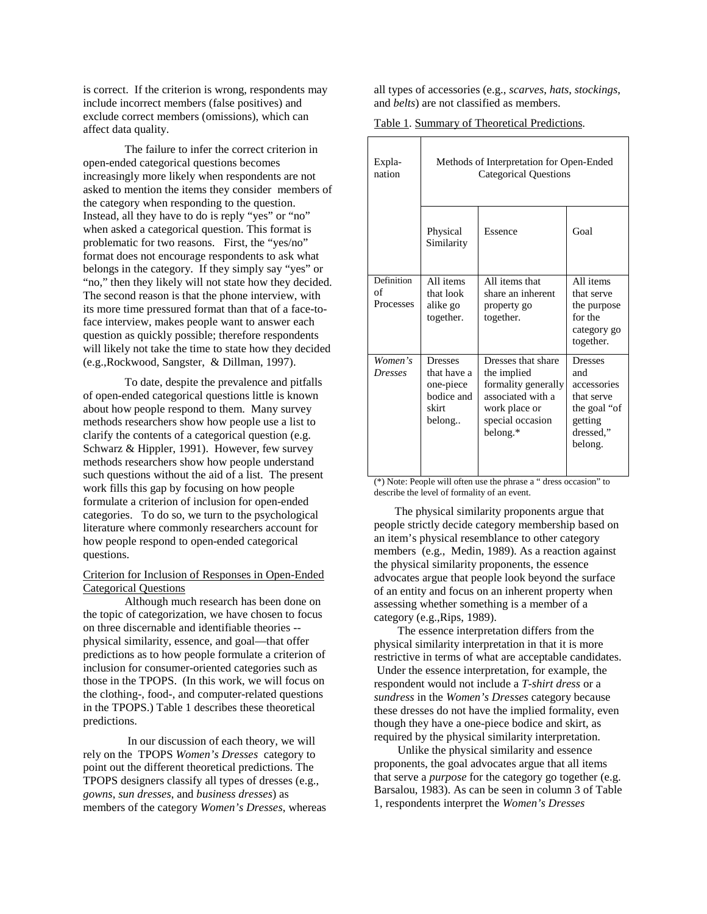is correct. If the criterion is wrong, respondents may include incorrect members (false positives) and exclude correct members (omissions), which can affect data quality.

The failure to infer the correct criterion in open-ended categorical questions becomes increasingly more likely when respondents are not asked to mention the items they consider members of the category when responding to the question. Instead, all they have to do is reply "yes" or "no" when asked a categorical question. This format is problematic for two reasons. First, the "yes/no" format does not encourage respondents to ask what belongs in the category. If they simply say "yes" or "no," then they likely will not state how they decided. The second reason is that the phone interview, with its more time pressured format than that of a face-toface interview, makes people want to answer each question as quickly possible; therefore respondents will likely not take the time to state how they decided (e.g.,Rockwood, Sangster, & Dillman, 1997).

To date, despite the prevalence and pitfalls of open-ended categorical questions little is known about how people respond to them. Many survey methods researchers show how people use a list to clarify the contents of a categorical question (e.g. Schwarz & Hippler, 1991). However, few survey methods researchers show how people understand such questions without the aid of a list. The present work fills this gap by focusing on how people formulate a criterion of inclusion for open-ended categories. To do so, we turn to the psychological literature where commonly researchers account for how people respond to open-ended categorical questions.

### Criterion for Inclusion of Responses in Open-Ended Categorical Questions

Although much research has been done on the topic of categorization, we have chosen to focus on three discernable and identifiable theories - physical similarity, essence, and goal—that offer predictions as to how people formulate a criterion of inclusion for consumer-oriented categories such as those in the TPOPS. (In this work, we will focus on the clothing-, food-, and computer-related questions in the TPOPS.) Table 1 describes these theoretical predictions.

 In our discussion of each theory, we will rely on the TPOPS *Women's Dresses* category to point out the different theoretical predictions. The TPOPS designers classify all types of dresses (e.g., *gowns*, *sun dresses*, and *business dresses*) as members of the category *Women's Dresses*, whereas

all types of accessories (e.g., *scarves*, *hats*, *stockings*, and *belts*) are not classified as members.

Table 1. Summary of Theoretical Predictions.

| Expla-<br>nation                       | Methods of Interpretation for Open-Ended<br><b>Categorical Questions</b>                           |                                                                                                                                |                                                                                                                    |  |
|----------------------------------------|----------------------------------------------------------------------------------------------------|--------------------------------------------------------------------------------------------------------------------------------|--------------------------------------------------------------------------------------------------------------------|--|
|                                        | Physical<br>Similarity                                                                             | Essence                                                                                                                        | Goal                                                                                                               |  |
| Definition<br>of<br><b>Processes</b>   | All items<br>that look<br>alike go<br>together.                                                    | All items that<br>share an inherent<br>property go<br>together.                                                                | All items<br>that serve<br>the purpose<br>for the<br>category go<br>together.                                      |  |
| Women's<br><b>Dresses</b><br>$ABX = T$ | <b>Dresses</b><br>that have a<br>one-piece<br>bodice and<br>skirt<br>belong<br>$\mathbf{r}$<br>.11 | Dresses that share<br>the implied<br>formality generally<br>associated with a<br>work place or<br>special occasion<br>belong.* | <b>Dresses</b><br>and<br>accessories<br>that serve<br>the goal "of<br>getting<br>dressed,"<br>belong.<br>$\ddotsc$ |  |

(\*) Note: People will often use the phrase a " dress occasion" to describe the level of formality of an event.

The physical similarity proponents argue that people strictly decide category membership based on an item's physical resemblance to other category members (e.g., Medin, 1989). As a reaction against the physical similarity proponents, the essence advocates argue that people look beyond the surface of an entity and focus on an inherent property when assessing whether something is a member of a category (e.g.,Rips, 1989).

 The essence interpretation differs from the physical similarity interpretation in that it is more restrictive in terms of what are acceptable candidates. Under the essence interpretation, for example, the respondent would not include a *T-shirt dress* or a *sundress* in the *Women's Dresses* category because these dresses do not have the implied formality, even though they have a one-piece bodice and skirt, as required by the physical similarity interpretation.

 Unlike the physical similarity and essence proponents, the goal advocates argue that all items that serve a *purpose* for the category go together (e.g. Barsalou, 1983). As can be seen in column 3 of Table 1, respondents interpret the *Women's Dresses*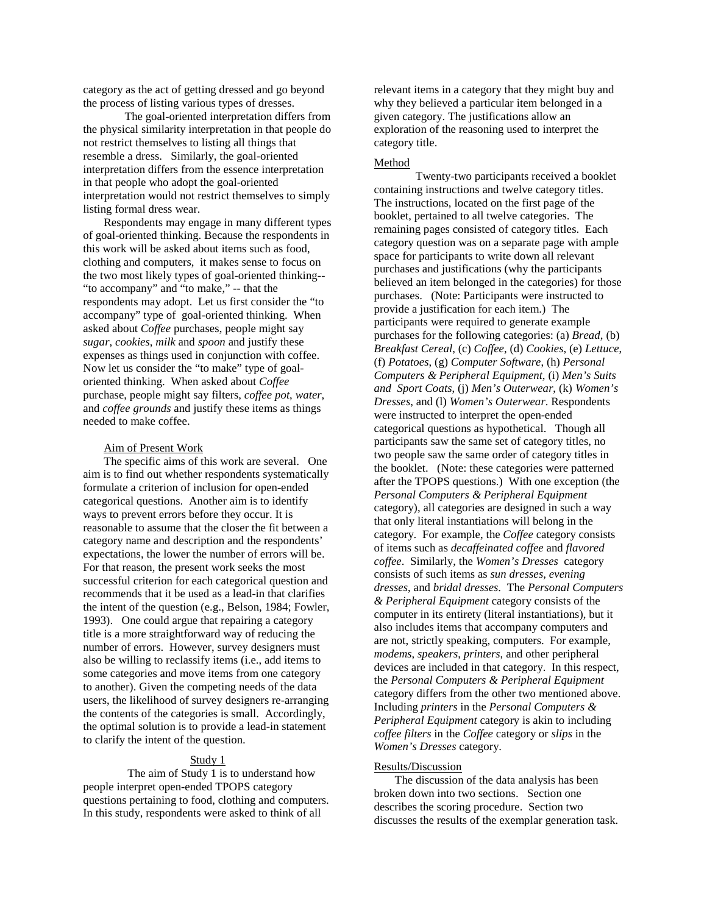category as the act of getting dressed and go beyond the process of listing various types of dresses.

The goal-oriented interpretation differs from the physical similarity interpretation in that people do not restrict themselves to listing all things that resemble a dress. Similarly, the goal-oriented interpretation differs from the essence interpretation in that people who adopt the goal-oriented interpretation would not restrict themselves to simply listing formal dress wear.

Respondents may engage in many different types of goal-oriented thinking. Because the respondents in this work will be asked about items such as food, clothing and computers, it makes sense to focus on the two most likely types of goal-oriented thinking-- "to accompany" and "to make," -- that the respondents may adopt. Let us first consider the "to accompany" type of goal-oriented thinking. When asked about *Coffee* purchases, people might say *sugar*, *cookies*, *milk* and *spoon* and justify these expenses as things used in conjunction with coffee. Now let us consider the "to make" type of goaloriented thinking. When asked about *Coffee* purchase, people might say filters, *coffee pot*, *water*, and *coffee grounds* and justify these items as things needed to make coffee.

### Aim of Present Work

The specific aims of this work are several. One aim is to find out whether respondents systematically formulate a criterion of inclusion for open-ended categorical questions. Another aim is to identify ways to prevent errors before they occur. It is reasonable to assume that the closer the fit between a category name and description and the respondents' expectations, the lower the number of errors will be. For that reason, the present work seeks the most successful criterion for each categorical question and recommends that it be used as a lead-in that clarifies the intent of the question (e.g., Belson, 1984; Fowler, 1993). One could argue that repairing a category title is a more straightforward way of reducing the number of errors. However, survey designers must also be willing to reclassify items (i.e., add items to some categories and move items from one category to another). Given the competing needs of the data users, the likelihood of survey designers re-arranging the contents of the categories is small. Accordingly, the optimal solution is to provide a lead-in statement to clarify the intent of the question.

## Study 1

 The aim of Study 1 is to understand how people interpret open-ended TPOPS category questions pertaining to food, clothing and computers. In this study, respondents were asked to think of all

relevant items in a category that they might buy and why they believed a particular item belonged in a given category. The justifications allow an exploration of the reasoning used to interpret the category title.

#### Method

Twenty-two participants received a booklet containing instructions and twelve category titles. The instructions, located on the first page of the booklet, pertained to all twelve categories. The remaining pages consisted of category titles. Each category question was on a separate page with ample space for participants to write down all relevant purchases and justifications (why the participants believed an item belonged in the categories) for those purchases. (Note: Participants were instructed to provide a justification for each item.) The participants were required to generate example purchases for the following categories: (a) *Bread*, (b) *Breakfast Cereal*, (c) *Coffee*, (d) *Cookies*, (e) *Lettuce*, (f) *Potatoes*, (g) *Computer Software*, (h) *Personal Computers & Peripheral Equipment*, (i) *Men's Suits and Sport Coats*, (j) *Men's Outerwear*, (k) *Women's Dresses*, and (l) *Women's Outerwear*. Respondents were instructed to interpret the open-ended categorical questions as hypothetical. Though all participants saw the same set of category titles, no two people saw the same order of category titles in the booklet. (Note: these categories were patterned after the TPOPS questions.) With one exception (the *Personal Computers & Peripheral Equipment* category), all categories are designed in such a way that only literal instantiations will belong in the category. For example, the *Coffee* category consists of items such as *decaffeinated coffee* and *flavored coffee*. Similarly, the *Women's Dresses* category consists of such items as *sun dresses, evening dresses*, and *bridal dresses*. The *Personal Computers & Peripheral Equipment* category consists of the computer in its entirety (literal instantiations), but it also includes items that accompany computers and are not, strictly speaking, computers. For example, *modems*, *speakers*, *printers*, and other peripheral devices are included in that category. In this respect, the *Personal Computers & Peripheral Equipment* category differs from the other two mentioned above. Including *printers* in the *Personal Computers & Peripheral Equipment* category is akin to including *coffee filters* in the *Coffee* category or *slips* in the *Women's Dresses* category.

#### Results/Discussion

The discussion of the data analysis has been broken down into two sections. Section one describes the scoring procedure. Section two discusses the results of the exemplar generation task.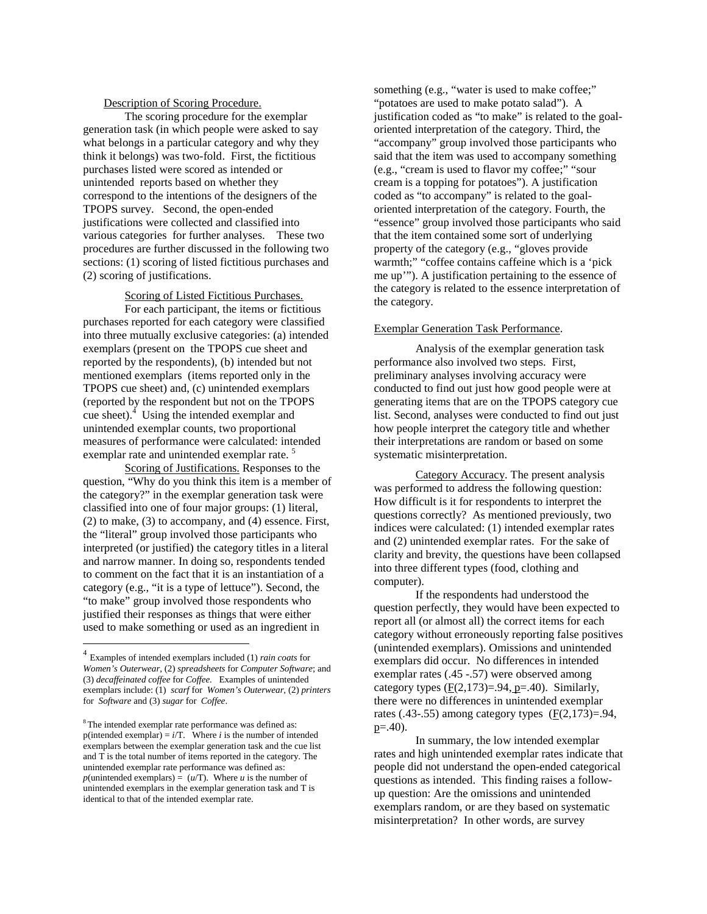#### Description of Scoring Procedure.

The scoring procedure for the exemplar generation task (in which people were asked to say what belongs in a particular category and why they think it belongs) was two-fold. First, the fictitious purchases listed were scored as intended or unintended reports based on whether they correspond to the intentions of the designers of the TPOPS survey. Second, the open-ended justifications were collected and classified into various categories for further analyses. These two procedures are further discussed in the following two sections: (1) scoring of listed fictitious purchases and (2) scoring of justifications.

# Scoring of Listed Fictitious Purchases.

For each participant, the items or fictitious purchases reported for each category were classified into three mutually exclusive categories: (a) intended exemplars (present on the TPOPS cue sheet and reported by the respondents), (b) intended but not mentioned exemplars (items reported only in the TPOPS cue sheet) and, (c) unintended exemplars (reported by the respondent but not on the TPOPS cue sheet). $\frac{4}{1}$  Using the intended exemplar and unintended exemplar counts, two proportional measures of performance were calculated: intended exemplar rate and unintended exemplar rate.<sup>5</sup>

Scoring of Justifications. Responses to the question, "Why do you think this item is a member of the category?" in the exemplar generation task were classified into one of four major groups: (1) literal, (2) to make, (3) to accompany, and (4) essence. First, the "literal" group involved those participants who interpreted (or justified) the category titles in a literal and narrow manner. In doing so, respondents tended to comment on the fact that it is an instantiation of a category (e.g., "it is a type of lettuce"). Second, the "to make" group involved those respondents who justified their responses as things that were either used to make something or used as an ingredient in

 $\overline{a}$ 

something (e.g., "water is used to make coffee;" "potatoes are used to make potato salad"). A justification coded as "to make" is related to the goaloriented interpretation of the category. Third, the "accompany" group involved those participants who said that the item was used to accompany something (e.g., "cream is used to flavor my coffee;" "sour cream is a topping for potatoes"). A justification coded as "to accompany" is related to the goaloriented interpretation of the category. Fourth, the "essence" group involved those participants who said that the item contained some sort of underlying property of the category (e.g., "gloves provide warmth;" "coffee contains caffeine which is a 'pick me up'"). A justification pertaining to the essence of the category is related to the essence interpretation of the category.

#### Exemplar Generation Task Performance.

 Analysis of the exemplar generation task performance also involved two steps. First, preliminary analyses involving accuracy were conducted to find out just how good people were at generating items that are on the TPOPS category cue list. Second, analyses were conducted to find out just how people interpret the category title and whether their interpretations are random or based on some systematic misinterpretation.

Category Accuracy. The present analysis was performed to address the following question: How difficult is it for respondents to interpret the questions correctly? As mentioned previously, two indices were calculated: (1) intended exemplar rates and (2) unintended exemplar rates. For the sake of clarity and brevity, the questions have been collapsed into three different types (food, clothing and computer).

If the respondents had understood the question perfectly, they would have been expected to report all (or almost all) the correct items for each category without erroneously reporting false positives (unintended exemplars). Omissions and unintended exemplars did occur. No differences in intended exemplar rates (.45 -.57) were observed among category types  $(F(2,173)=0.94, p=.40)$ . Similarly, there were no differences in unintended exemplar rates (.43-.55) among category types  $(F(2,173)=.94,$  $p=40$ ).

 In summary, the low intended exemplar rates and high unintended exemplar rates indicate that people did not understand the open-ended categorical questions as intended. This finding raises a followup question: Are the omissions and unintended exemplars random, or are they based on systematic misinterpretation? In other words, are survey

<sup>4</sup> Examples of intended exemplars included (1) *rain coats* for *Women's Outerwear*, (2) *spreadsheets* for *Computer Software*; and (3) *decaffeinated coffee* for *Coffee.* Examples of unintended exemplars include: (1) *scarf* for *Women's Outerwear*, (2) *printers* for *Software* and (3) *sugar* for *Coffee*.

<sup>&</sup>lt;sup>8</sup> The intended exemplar rate performance was defined as: p(intended exemplar) =  $i/T$ . Where *i* is the number of intended exemplars between the exemplar generation task and the cue list and T is the total number of items reported in the category. The unintended exemplar rate performance was defined as:  $p$ (unintended exemplars) =  $(u/T)$ . Where *u* is the number of unintended exemplars in the exemplar generation task and T is identical to that of the intended exemplar rate.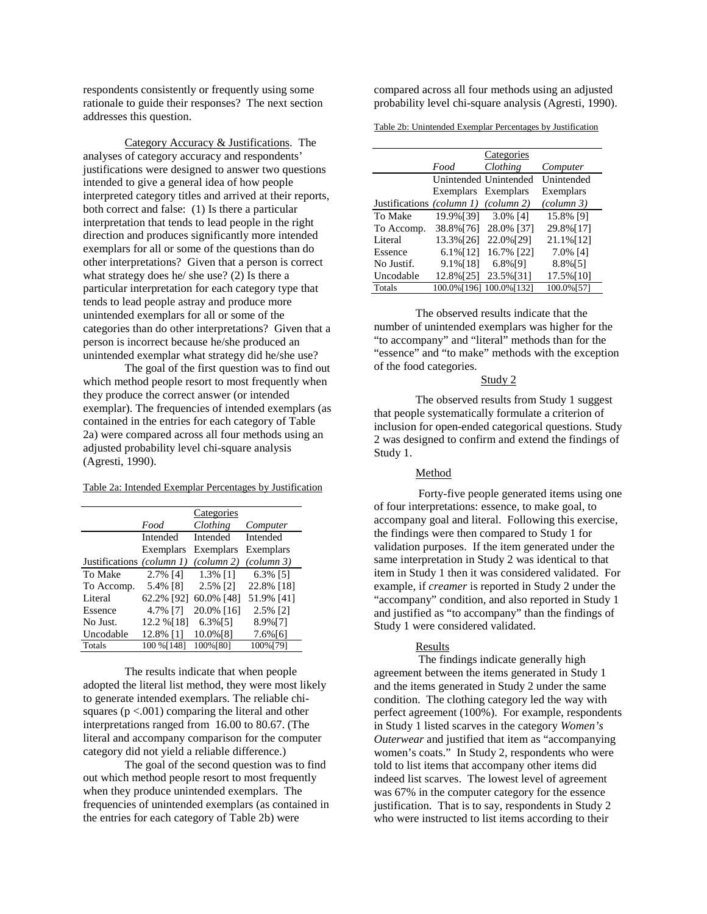respondents consistently or frequently using some rationale to guide their responses? The next section addresses this question.

 Category Accuracy & Justifications. The analyses of category accuracy and respondents' justifications were designed to answer two questions intended to give a general idea of how people interpreted category titles and arrived at their reports, both correct and false: (1) Is there a particular interpretation that tends to lead people in the right direction and produces significantly more intended exemplars for all or some of the questions than do other interpretations? Given that a person is correct what strategy does he/ she use? (2) Is there a particular interpretation for each category type that tends to lead people astray and produce more unintended exemplars for all or some of the categories than do other interpretations? Given that a person is incorrect because he/she produced an unintended exemplar what strategy did he/she use?

The goal of the first question was to find out which method people resort to most frequently when they produce the correct answer (or intended exemplar). The frequencies of intended exemplars (as contained in the entries for each category of Table 2a) were compared across all four methods using an adjusted probability level chi-square analysis (Agresti, 1990).

Table 2a: Intended Exemplar Percentages by Justification

|                           |             | Categories                      |                                |
|---------------------------|-------------|---------------------------------|--------------------------------|
|                           | Food        | Clothing                        | Computer                       |
|                           | Intended    | Intended                        | Intended                       |
|                           | Exemplars   | Exemplars                       | Exemplars                      |
| Justifications (column 1) |             | $\left(\text{column } 2\right)$ | $\left(\text{column }3\right)$ |
| To Make                   | 2.7% [4]    | 1.3% [1]                        | 6.3% [5]                       |
| To Accomp.                | 5.4% [8]    | 2.5% [2]                        | 22.8% [18]                     |
| Literal                   | 62.2% [92]  | 60.0% [48]                      | 51.9% [41]                     |
| Essence                   | 4.7% [7]    | 20.0% [16]                      | 2.5% [2]                       |
| No Just.                  | 12.2 % [18] | $6.3\%$ [5]                     | 8.9%[7]                        |
| Uncodable                 | 12.8% [1]   | 10.0%[8]                        | $7.6\%$ [6]                    |
| Totals                    | 100 % [148] | 100% [80]                       | 100%[79]                       |

The results indicate that when people adopted the literal list method, they were most likely to generate intended exemplars. The reliable chisquares ( $p < .001$ ) comparing the literal and other interpretations ranged from 16.00 to 80.67. (The literal and accompany comparison for the computer category did not yield a reliable difference.)

The goal of the second question was to find out which method people resort to most frequently when they produce unintended exemplars. The frequencies of unintended exemplars (as contained in the entries for each category of Table 2b) were

compared across all four methods using an adjusted probability level chi-square analysis (Agresti, 1990).

Table 2b: Unintended Exemplar Percentages by Justification

|                                      |                     | Categories            |                                |
|--------------------------------------|---------------------|-----------------------|--------------------------------|
|                                      | Food                | Clothing              | Computer                       |
|                                      |                     | Unintended Unintended | Unintended                     |
|                                      | Exemplars Exemplars |                       | Exemplars                      |
| Justifications (column 1) (column 2) |                     |                       | $\left(\text{column }3\right)$ |
| To Make                              | 19.9%[39]           | $3.0\%$ [4]           | 15.8% [9]                      |
| To Accomp.                           | 38.8%[76]           | 28.0% [37]            | 29.8%[17]                      |
| Literal                              | 13.3%[26]           | 22.0%[29]             | 21.1%[12]                      |
| Essence                              | $6.1\%$ [12]        | 16.7% [22]            | 7.0% [4]                       |
| No Justif.                           | 9.1%[18]            | 6.8%[9]               | 8.8%[5]                        |
| Uncodable                            | 12.8%[25]           | 23.5%[31]             | 17.5%[10]                      |
| Totals                               | 100.0%[196]         | 100.0%[132]           | 100.0%[57]                     |

The observed results indicate that the number of unintended exemplars was higher for the "to accompany" and "literal" methods than for the "essence" and "to make" methods with the exception of the food categories.

# Study 2

The observed results from Study 1 suggest that people systematically formulate a criterion of inclusion for open-ended categorical questions. Study 2 was designed to confirm and extend the findings of Study 1.

### Method

 Forty-five people generated items using one of four interpretations: essence, to make goal, to accompany goal and literal. Following this exercise, the findings were then compared to Study 1 for validation purposes. If the item generated under the same interpretation in Study 2 was identical to that item in Study 1 then it was considered validated. For example, if *creamer* is reported in Study 2 under the "accompany" condition, and also reported in Study 1 and justified as "to accompany" than the findings of Study 1 were considered validated.

## Results

 The findings indicate generally high agreement between the items generated in Study 1 and the items generated in Study 2 under the same condition. The clothing category led the way with perfect agreement (100%). For example, respondents in Study 1 listed scarves in the category *Women's Outerwear* and justified that item as "accompanying women's coats." In Study 2, respondents who were told to list items that accompany other items did indeed list scarves. The lowest level of agreement was 67% in the computer category for the essence justification. That is to say, respondents in Study 2 who were instructed to list items according to their